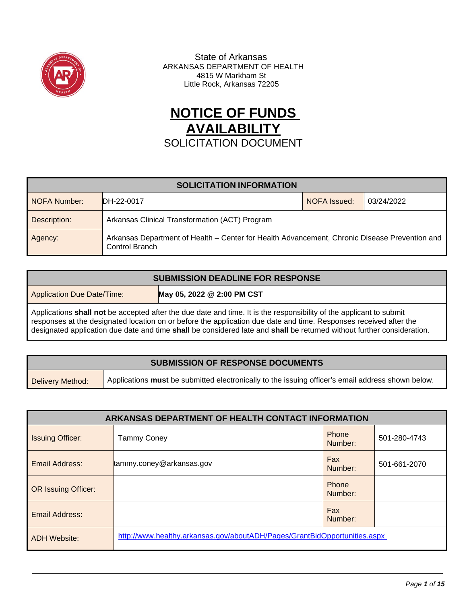

 State of Arkansas ARKANSAS DEPARTMENT OF HEALTH 4815 W Markham St Little Rock, Arkansas 72205

# **NOTICE OF FUNDS AVAILABILITY** SOLICITATION DOCUMENT

| <b>SOLICITATION INFORMATION</b> |                                                                                                                 |              |            |
|---------------------------------|-----------------------------------------------------------------------------------------------------------------|--------------|------------|
| NOFA Number:                    | <b>IDH-22-0017</b>                                                                                              | NOFA Issued: | 03/24/2022 |
| Description:                    | Arkansas Clinical Transformation (ACT) Program                                                                  |              |            |
| Agency:                         | Arkansas Department of Health - Center for Health Advancement, Chronic Disease Prevention and<br>Control Branch |              |            |

| <b>SUBMISSION DEADLINE FOR RESPONSE</b>                                                                                                                                                                                                                                                                                                                            |                            |  |  |
|--------------------------------------------------------------------------------------------------------------------------------------------------------------------------------------------------------------------------------------------------------------------------------------------------------------------------------------------------------------------|----------------------------|--|--|
| <b>Application Due Date/Time:</b>                                                                                                                                                                                                                                                                                                                                  | May 05, 2022 @ 2:00 PM CST |  |  |
| Applications shall not be accepted after the due date and time. It is the responsibility of the applicant to submit<br>responses at the designated location on or before the application due date and time. Responses received after the<br>designated application due date and time shall be considered late and shall be returned without further consideration. |                            |  |  |

| <b>SUBMISSION OF RESPONSE DOCUMENTS</b> |                                                                                                   |  |  |
|-----------------------------------------|---------------------------------------------------------------------------------------------------|--|--|
| Delivery Method:                        | Applications must be submitted electronically to the issuing officer's email address shown below. |  |  |

| <b>ARKANSAS DEPARTMENT OF HEALTH CONTACT INFORMATION</b> |                                                                           |                  |              |
|----------------------------------------------------------|---------------------------------------------------------------------------|------------------|--------------|
| <b>Issuing Officer:</b>                                  | <b>Tammy Coney</b>                                                        | Phone<br>Number: | 501-280-4743 |
| Email Address:                                           | tammy.coney@arkansas.gov                                                  | Fax<br>Number:   | 501-661-2070 |
| <b>OR Issuing Officer:</b>                               |                                                                           | Phone<br>Number: |              |
| Email Address:                                           |                                                                           | Fax<br>Number:   |              |
| <b>ADH Website:</b>                                      | http://www.healthy.arkansas.gov/aboutADH/Pages/GrantBidOpportunities.aspx |                  |              |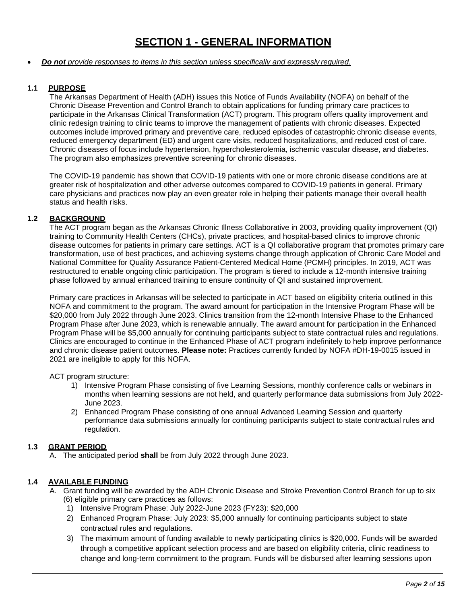## **SECTION 1 - GENERAL INFORMATION**

#### • <sup>U</sup>*Do not provide responses to items in this section unless specifically and expressly required.*

## **1.1 PURPOSE**

The Arkansas Department of Health (ADH) issues this Notice of Funds Availability (NOFA) on behalf of the Chronic Disease Prevention and Control Branch to obtain applications for funding primary care practices to participate in the Arkansas Clinical Transformation (ACT) program. This program offers quality improvement and clinic redesign training to clinic teams to improve the management of patients with chronic diseases. Expected outcomes include improved primary and preventive care, reduced episodes of catastrophic chronic disease events, reduced emergency department (ED) and urgent care visits, reduced hospitalizations, and reduced cost of care. Chronic diseases of focus include hypertension, hypercholesterolemia, ischemic vascular disease, and diabetes. The program also emphasizes preventive screening for chronic diseases.

The COVID-19 pandemic has shown that COVID-19 patients with one or more chronic disease conditions are at greater risk of hospitalization and other adverse outcomes compared to COVID-19 patients in general. Primary care physicians and practices now play an even greater role in helping their patients manage their overall health status and health risks.

## **1.2 BACKGROUND**

The ACT program began as the Arkansas Chronic Illness Collaborative in 2003, providing quality improvement (QI) training to Community Health Centers (CHCs), private practices, and hospital-based clinics to improve chronic disease outcomes for patients in primary care settings. ACT is a QI collaborative program that promotes primary care transformation, use of best practices, and achieving systems change through application of Chronic Care Model and National Committee for Quality Assurance Patient-Centered Medical Home (PCMH) principles. In 2019, ACT was restructured to enable ongoing clinic participation. The program is tiered to include a 12-month intensive training phase followed by annual enhanced training to ensure continuity of QI and sustained improvement.

Primary care practices in Arkansas will be selected to participate in ACT based on eligibility criteria outlined in this NOFA and commitment to the program. The award amount for participation in the Intensive Program Phase will be \$20,000 from July 2022 through June 2023. Clinics transition from the 12-month Intensive Phase to the Enhanced Program Phase after June 2023, which is renewable annually. The award amount for participation in the Enhanced Program Phase will be \$5,000 annually for continuing participants subject to state contractual rules and regulations. Clinics are encouraged to continue in the Enhanced Phase of ACT program indefinitely to help improve performance and chronic disease patient outcomes. **Please note:** Practices currently funded by NOFA #DH-19-0015 issued in 2021 are ineligible to apply for this NOFA.

ACT program structure:

- 1) Intensive Program Phase consisting of five Learning Sessions, monthly conference calls or webinars in months when learning sessions are not held, and quarterly performance data submissions from July 2022- June 2023.
- 2) Enhanced Program Phase consisting of one annual Advanced Learning Session and quarterly performance data submissions annually for continuing participants subject to state contractual rules and regulation.

#### **1.3 GRANT PERIOD**

A. The anticipated period **shall** be from July 2022 through June 2023.

## **1.4 AVAILABLE FUNDING**

- A. Grant funding will be awarded by the ADH Chronic Disease and Stroke Prevention Control Branch for up to six (6) eligible primary care practices as follows:
	- 1) Intensive Program Phase: July 2022-June 2023 (FY23): \$20,000
	- 2) Enhanced Program Phase: July 2023: \$5,000 annually for continuing participants subject to state contractual rules and regulations.
	- 3) The maximum amount of funding available to newly participating clinics is \$20,000. Funds will be awarded through a competitive applicant selection process and are based on eligibility criteria, clinic readiness to change and long-term commitment to the program. Funds will be disbursed after learning sessions upon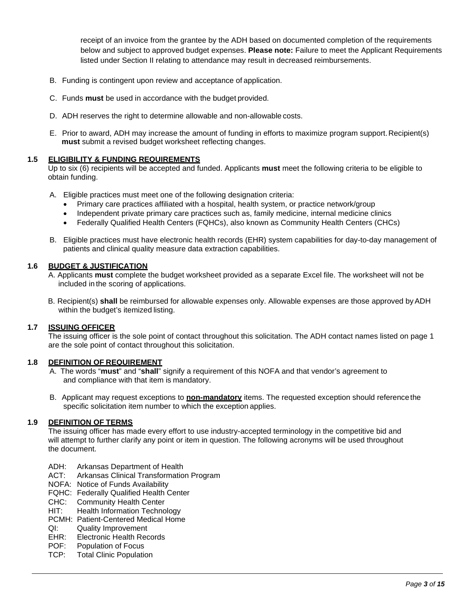receipt of an invoice from the grantee by the ADH based on documented completion of the requirements below and subject to approved budget expenses. **Please note:** Failure to meet the Applicant Requirements listed under Section II relating to attendance may result in decreased reimbursements.

- B. Funding is contingent upon review and acceptance of application.
- C. Funds **must** be used in accordance with the budget provided.
- D. ADH reserves the right to determine allowable and non-allowable costs.
- E. Prior to award, ADH may increase the amount of funding in efforts to maximize program support.Recipient(s) **must** submit a revised budget worksheet reflecting changes.

#### **1.5 ELIGIBILITY & FUNDING REQUIREMENTS**

Up to six (6) recipients will be accepted and funded. Applicants **must** meet the following criteria to be eligible to obtain funding.

- A. Eligible practices must meet one of the following designation criteria:
	- Primary care practices affiliated with a hospital, health system, or practice network/group
	- Independent private primary care practices such as, family medicine, internal medicine clinics
	- Federally Qualified Health Centers (FQHCs), also known as Community Health Centers (CHCs)
- B. Eligible practices must have electronic health records (EHR) system capabilities for day-to-day management of patients and clinical quality measure data extraction capabilities.

#### **1.6 BUDGET & JUSTIFICATION**

- A. Applicants **must** complete the budget worksheet provided as a separate Excel file. The worksheet will not be included in the scoring of applications.
- B. Recipient(s) **shall** be reimbursed for allowable expenses only. Allowable expenses are those approved byADH within the budget's itemized listing.

#### **1.7 ISSUING OFFICER**

The issuing officer is the sole point of contact throughout this solicitation. The ADH contact names listed on page 1 are the sole point of contact throughout this solicitation.

#### **1.8 DEFINITION OF REQUIREMENT**

- A. The words "**must**" and "**shall**" signify a requirement of this NOFA and that vendor's agreement to and compliance with that item is mandatory.
- B. Applicant may request exceptions to **non-mandatory** items. The requested exception should referencethe specific solicitation item number to which the exception applies.

#### **1.9 DEFINITION OF TERMS**

The issuing officer has made every effort to use industry-accepted terminology in the competitive bid and will attempt to further clarify any point or item in question. The following acronyms will be used throughout the document.

- ADH: Arkansas Department of Health
- ACT: Arkansas Clinical Transformation Program
- NOFA: Notice of Funds Availability
- FQHC: Federally Qualified Health Center
- CHC: Community Health Center
- HIT: Health Information Technology
- PCMH: Patient-Centered Medical Home
- QI: Quality Improvement
- EHR: Electronic Health Records<br>POF: Population of Focus
- Population of Focus
- TCP: Total Clinic Population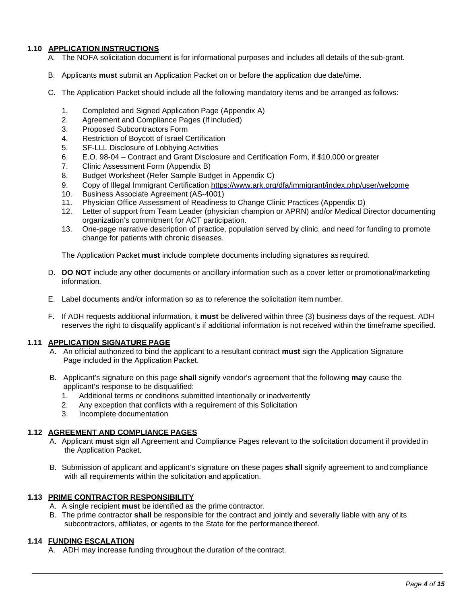### **1.10 APPLICATION INSTRUCTIONS**

- A. The NOFA solicitation document is for informational purposes and includes all details of the sub-grant.
- B. Applicants **must** submit an Application Packet on or before the application due date/time.
- C. The Application Packet should include all the following mandatory items and be arranged as follows:
	- 1. Completed and Signed Application Page (Appendix A)
	- 2. Agreement and Compliance Pages (If included)
	- 3. Proposed Subcontractors Form
	- 4. Restriction of Boycott of Israel Certification
	- 5. SF-LLL Disclosure of Lobbying Activities
	- 6. E.O. 98-04 Contract and Grant Disclosure and Certification Form, if \$10,000 or greater
	- 7. Clinic Assessment Form (Appendix B)
	- 8. Budget Worksheet (Refer Sample Budget in Appendix C)
	- 9. Copy of Illegal Immigrant Certification <https://www.ark.org/dfa/immigrant/index.php/user/welcome>
	- 10. Business Associate Agreement (AS-4001)
	- 11. Physician Office Assessment of Readiness to Change Clinic Practices (Appendix D)
	- 12. Letter of support from Team Leader (physician champion or APRN) and/or Medical Director documenting organization's commitment for ACT participation.
	- 13. One-page narrative description of practice, population served by clinic, and need for funding to promote change for patients with chronic diseases.

The Application Packet **must** include complete documents including signatures as required.

- D. **DO NOT** include any other documents or ancillary information such as a cover letter or promotional/marketing information*.*
- E. Label documents and/or information so as to reference the solicitation item number.
- F. If ADH requests additional information, it **must** be delivered within three (3) business days of the request. ADH reserves the right to disqualify applicant's if additional information is not received within the timeframe specified.

#### **1.11 APPLICATION SIGNATURE PAGE**

- A. An official authorized to bind the applicant to a resultant contract **must** sign the Application Signature Page included in the Application Packet.
- B. Applicant's signature on this page **shall** signify vendor's agreement that the following **may** cause the applicant's response to be disqualified:
	- 1. Additional terms or conditions submitted intentionally or inadvertently
	- 2. Any exception that conflicts with a requirement of this Solicitation
	- 3. Incomplete documentation

## **1.12 AGREEMENT AND COMPLIANCE PAGES**

- A. Applicant **must** sign all Agreement and Compliance Pages relevant to the solicitation document if provided in the Application Packet.
- B. Submission of applicant and applicant's signature on these pages **shall** signify agreement to and compliance with all requirements within the solicitation and application.

#### **1.13 PRIME CONTRACTOR RESPONSIBILITY**

- A. A single recipient **must** be identified as the prime contractor.
- B. The prime contractor **shall** be responsible for the contract and jointly and severally liable with any ofits subcontractors, affiliates, or agents to the State for the performance thereof.

#### **1.14 FUNDING ESCALATION**

A. ADH may increase funding throughout the duration of the contract.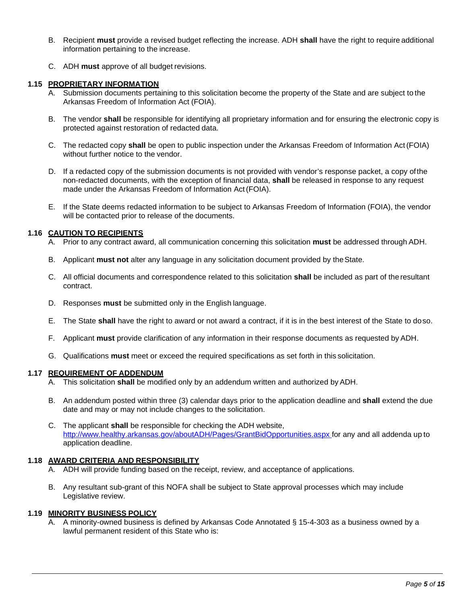- B. Recipient **must** provide a revised budget reflecting the increase. ADH **shall** have the right to require additional information pertaining to the increase.
- C. ADH **must** approve of all budget revisions.

#### **1.15 PROPRIETARY INFORMATION**

- A. Submission documents pertaining to this solicitation become the property of the State and are subject to the Arkansas Freedom of Information Act (FOIA).
- B. The vendor **shall** be responsible for identifying all proprietary information and for ensuring the electronic copy is protected against restoration of redacted data.
- C. The redacted copy **shall** be open to public inspection under the Arkansas Freedom of Information Act(FOIA) without further notice to the vendor.
- D. If a redacted copy of the submission documents is not provided with vendor's response packet, a copy ofthe non-redacted documents, with the exception of financial data, **shall** be released in response to any request made under the Arkansas Freedom of Information Act(FOIA).
- E. If the State deems redacted information to be subject to Arkansas Freedom of Information (FOIA), the vendor will be contacted prior to release of the documents.

#### **1.16 CAUTION TO RECIPIENTS**

- A. Prior to any contract award, all communication concerning this solicitation **must** be addressed through ADH.
- B. Applicant **must not** alter any language in any solicitation document provided by theState.
- C. All official documents and correspondence related to this solicitation **shall** be included as part of the resultant contract.
- D. Responses **must** be submitted only in the English language.
- E. The State **shall** have the right to award or not award a contract, if it is in the best interest of the State to doso.
- F. Applicant **must** provide clarification of any information in their response documents as requested by ADH.
- G. Qualifications **must** meet or exceed the required specifications as set forth in this solicitation.

#### **1.17 REQUIREMENT OF ADDENDUM**

- A. This solicitation **shall** be modified only by an addendum written and authorized by ADH.
- B. An addendum posted within three (3) calendar days prior to the application deadline and **shall** extend the due date and may or may not include changes to the solicitation.
- C. The applicant **shall** be responsible for checking the ADH website, [http://www.healthy.arkansas.gov/aboutADH/Pages/GrantBidOpportunities.aspx f](http://www.healthy.arkansas.gov/aboutADH/Pages/GrantBidOpportunities.aspx)or any and all addenda up to application deadline.

## **1.18 AWARD CRITERIA AND RESPONSIBILITY**

- A. ADH will provide funding based on the receipt, review, and acceptance of applications.
- B. Any resultant sub-grant of this NOFA shall be subject to State approval processes which may include Legislative review.

## **1.19 MINORITY BUSINESS POLICY**

A. A minority-owned business is defined by Arkansas Code Annotated § 15-4-303 as a business owned by a lawful permanent resident of this State who is: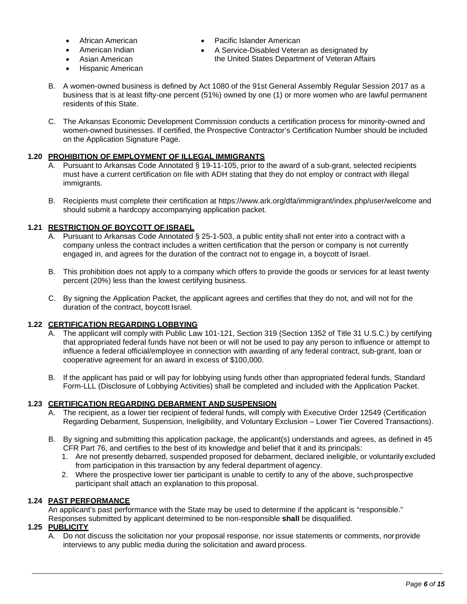- African American
- American Indian
- Asian American
- Hispanic American
- Pacific Islander American
- A Service-Disabled Veteran as designated by the United States Department of Veteran Affairs
- B. A women-owned business is defined by Act 1080 of the 91st General Assembly Regular Session 2017 as a business that is at least fifty-one percent (51%) owned by one (1) or more women who are lawful permanent residents of this State.
- C. The Arkansas Economic Development Commission conducts a certification process for minority-owned and women-owned businesses. If certified, the Prospective Contractor's Certification Number should be included on the Application Signature Page.

## **1.20 PROHIBITION OF EMPLOYMENT OF ILLEGAL IMMIGRANTS**

- A. Pursuant to Arkansas Code Annotated § 19-11-105, prior to the award of a sub-grant, selected recipients must have a current certification on file with ADH stating that they do not employ or contract with illegal immigrants.
- B. Recipients must complete their certification at [https://www.ark.org/dfa/immigrant/index.php/user/welcome a](https://www.ark.org/dfa/immigrant/index.php/user/welcome)nd should submit a hardcopy accompanying application packet.

## **1.21 RESTRICTION OF BOYCOTT OF ISRAEL**

- A. Pursuant to Arkansas Code Annotated § 25-1-503, a public entity shall not enter into a contract with a company unless the contract includes a written certification that the person or company is not currently engaged in, and agrees for the duration of the contract not to engage in, a boycott of Israel.
- B. This prohibition does not apply to a company which offers to provide the goods or services for at least twenty percent (20%) less than the lowest certifying business.
- C. By signing the Application Packet, the applicant agrees and certifies that they do not, and will not for the duration of the contract, boycott Israel.

## **1.22 CERTIFICATION REGARDING LOBBYING**

- A. The applicant will comply with Public Law 101-121, Section 319 (Section 1352 of Title 31 U.S.C.) by certifying that appropriated federal funds have not been or will not be used to pay any person to influence or attempt to influence a federal official/employee in connection with awarding of any federal contract, sub-grant, loan or cooperative agreement for an award in excess of \$100,000.
- B. If the applicant has paid or will pay for lobbying using funds other than appropriated federal funds, Standard Form-LLL (Disclosure of Lobbying Activities) shall be completed and included with the Application Packet.

## **1.23 CERTIFICATION REGARDING DEBARMENT AND SUSPENSION**

- A. The recipient, as a lower tier recipient of federal funds, will comply with Executive Order 12549 (Certification Regarding Debarment, Suspension, Ineligibility, and Voluntary Exclusion – Lower Tier Covered Transactions).
- B. By signing and submitting this application package, the applicant(s) understands and agrees, as defined in 45 CFR Part 76, and certifies to the best of its knowledge and belief that it and its principals:
	- 1. Are not presently debarred, suspended proposed for debarment, declared ineligible, or voluntarily excluded from participation in this transaction by any federal department of agency.
	- 2. Where the prospective lower tier participant is unable to certify to any of the above, such prospective participant shall attach an explanation to this proposal.

## **1.24 PAST PERFORMANCE**

An applicant's past performance with the State may be used to determine if the applicant is "responsible." Responses submitted by applicant determined to be non-responsible **shall** be disqualified.

#### **1.25 PUBLICITY**

A. Do not discuss the solicitation nor your proposal response, nor issue statements or comments, norprovide interviews to any public media during the solicitation and award process.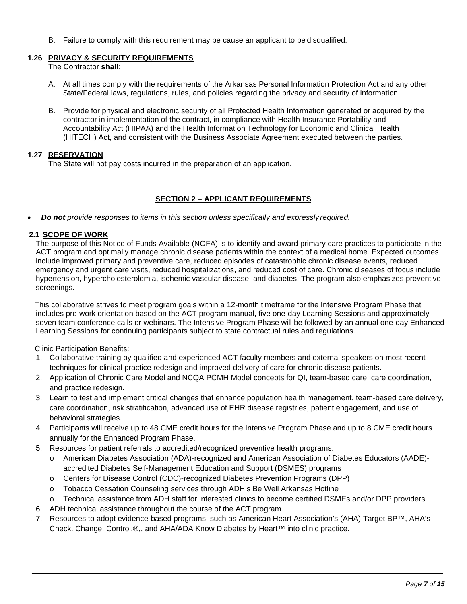B. Failure to comply with this requirement may be cause an applicant to be disqualified.

## **1.26 PRIVACY & SECURITY REQUIREMENTS**

The Contractor **shall**:

- A. At all times comply with the requirements of the Arkansas Personal Information Protection Act and any other State/Federal laws, regulations, rules, and policies regarding the privacy and security of information.
- B. Provide for physical and electronic security of all Protected Health Information generated or acquired by the contractor in implementation of the contract, in compliance with Health Insurance Portability and Accountability Act (HIPAA) and the Health Information Technology for Economic and Clinical Health (HITECH) Act, and consistent with the Business Associate Agreement executed between the parties.

## **1.27 RESERVATION**

The State will not pay costs incurred in the preparation of an application.

## **SECTION 2 – APPLICANT REQUIREMENTS**

#### • *Do not provide responses to items in this section unless specifically and expressly required.*

## **2.1 SCOPE OF WORK**

The purpose of this Notice of Funds Available (NOFA) is to identify and award primary care practices to participate in the ACT program and optimally manage chronic disease patients within the context of a medical home. Expected outcomes include improved primary and preventive care, reduced episodes of catastrophic chronic disease events, reduced emergency and urgent care visits, reduced hospitalizations, and reduced cost of care. Chronic diseases of focus include hypertension, hypercholesterolemia, ischemic vascular disease, and diabetes. The program also emphasizes preventive screenings.

This collaborative strives to meet program goals within a 12-month timeframe for the Intensive Program Phase that includes pre-work orientation based on the ACT program manual, five one-day Learning Sessions and approximately seven team conference calls or webinars. The Intensive Program Phase will be followed by an annual one-day Enhanced Learning Sessions for continuing participants subject to state contractual rules and regulations.

Clinic Participation Benefits:

- 1. Collaborative training by qualified and experienced ACT faculty members and external speakers on most recent techniques for clinical practice redesign and improved delivery of care for chronic disease patients.
- 2. Application of Chronic Care Model and NCQA PCMH Model concepts for QI, team-based care, care coordination, and practice redesign.
- 3. Learn to test and implement critical changes that enhance population health management, team-based care delivery, care coordination, risk stratification, advanced use of EHR disease registries, patient engagement, and use of behavioral strategies.
- 4. Participants will receive up to 48 CME credit hours for the Intensive Program Phase and up to 8 CME credit hours annually for the Enhanced Program Phase.
- 5. Resources for patient referrals to accredited/recognized preventive health programs:
	- o American Diabetes Association (ADA)-recognized and American Association of Diabetes Educators (AADE) accredited Diabetes Self-Management Education and Support (DSMES) programs
	- o Centers for Disease Control (CDC)-recognized Diabetes Prevention Programs (DPP)
	- o Tobacco Cessation Counseling services through ADH's Be Well Arkansas Hotline
	- o Technical assistance from ADH staff for interested clinics to become certified DSMEs and/or DPP providers
- 6. ADH technical assistance throughout the course of the ACT program.
- 7. Resources to adopt evidence-based programs, such as American Heart Association's (AHA) Target BP™, AHA's Check. Change. Control.®,, and AHA/ADA Know Diabetes by Heart™ into clinic practice.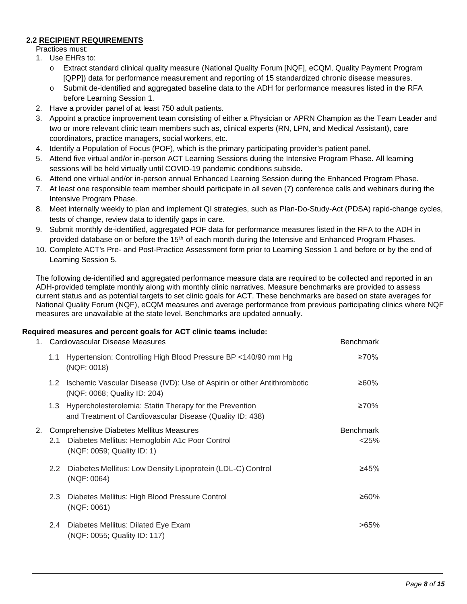## **2.2 RECIPIENT REQUIREMENTS**

- Practices must:
- 1. Use EHRs to:
	- o Extract standard clinical quality measure (National Quality Forum [NQF], eCQM, Quality Payment Program [QPP]) data for performance measurement and reporting of 15 standardized chronic disease measures.
	- o Submit de-identified and aggregated baseline data to the ADH for performance measures listed in the RFA before Learning Session 1.
- 2. Have a provider panel of at least 750 adult patients.
- 3. Appoint a practice improvement team consisting of either a Physician or APRN Champion as the Team Leader and two or more relevant clinic team members such as, clinical experts (RN, LPN, and Medical Assistant), care coordinators, practice managers, social workers, etc.
- 4. Identify a Population of Focus (POF), which is the primary participating provider's patient panel.
- 5. Attend five virtual and/or in-person ACT Learning Sessions during the Intensive Program Phase. All learning sessions will be held virtually until COVID-19 pandemic conditions subside.
- 6. Attend one virtual and/or in-person annual Enhanced Learning Session during the Enhanced Program Phase.
- 7. At least one responsible team member should participate in all seven (7) conference calls and webinars during the Intensive Program Phase.
- 8. Meet internally weekly to plan and implement QI strategies, such as Plan-Do-Study-Act (PDSA) rapid-change cycles, tests of change, review data to identify gaps in care.
- 9. Submit monthly de-identified, aggregated POF data for performance measures listed in the RFA to the ADH in provided database on or before the 15th of each month during the Intensive and Enhanced Program Phases.
- 10. Complete ACT's Pre- and Post-Practice Assessment form prior to Learning Session 1 and before or by the end of Learning Session 5.

The following de-identified and aggregated performance measure data are required to be collected and reported in an ADH-provided template monthly along with monthly clinic narratives. Measure benchmarks are provided to assess current status and as potential targets to set clinic goals for ACT. These benchmarks are based on state averages for National Quality Forum (NQF), eCQM measures and average performance from previous participating clinics where NQF measures are unavailable at the state level. Benchmarks are updated annually.

## **Required measures and percent goals for ACT clinic teams include:**

| 1. | Cardiovascular Disease Measures                 |                                                                                                                      | <b>Benchmark</b> |
|----|-------------------------------------------------|----------------------------------------------------------------------------------------------------------------------|------------------|
|    | 1.1                                             | Hypertension: Controlling High Blood Pressure BP <140/90 mm Hg<br>(NQF: 0018)                                        | ≥70%             |
|    | 1.2                                             | Ischemic Vascular Disease (IVD): Use of Aspirin or other Antithrombotic<br>(NQF: 0068; Quality ID: 204)              | ≥60%             |
|    | 1.3                                             | Hypercholesterolemia: Statin Therapy for the Prevention<br>and Treatment of Cardiovascular Disease (Quality ID: 438) | ≥70%             |
| 2. | <b>Comprehensive Diabetes Mellitus Measures</b> |                                                                                                                      | <b>Benchmark</b> |
|    | 2.1                                             | Diabetes Mellitus: Hemoglobin A1c Poor Control<br>(NQF: 0059; Quality ID: 1)                                         | < 25%            |
|    | $2.2^{\circ}$                                   | Diabetes Mellitus: Low Density Lipoprotein (LDL-C) Control<br>(NQF: 0064)                                            | ≥45%             |
|    | 2.3                                             | Diabetes Mellitus: High Blood Pressure Control<br>(NQF: 0061)                                                        | ≥60%             |
|    | $2.4^{\circ}$                                   | Diabetes Mellitus: Dilated Eye Exam<br>(NQF: 0055; Quality ID: 117)                                                  | $>65\%$          |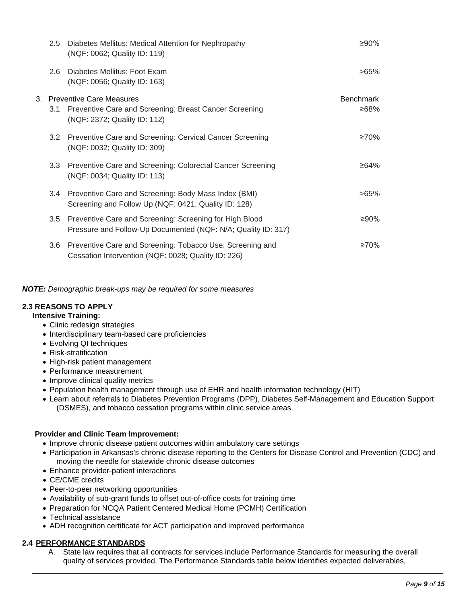| 2.5              | Diabetes Mellitus: Medical Attention for Nephropathy<br>(NQF: 0062; Quality ID: 119)                                     | ≥90%             |
|------------------|--------------------------------------------------------------------------------------------------------------------------|------------------|
| 2.6              | Diabetes Mellitus: Foot Exam<br>(NQF: 0056; Quality ID: 163)                                                             | >65%             |
|                  | 3. Preventive Care Measures                                                                                              | <b>Benchmark</b> |
| 3.1              | Preventive Care and Screening: Breast Cancer Screening<br>(NQF: 2372; Quality ID: 112)                                   | ≥68%             |
| 3.2              | Preventive Care and Screening: Cervical Cancer Screening<br>(NQF: 0032; Quality ID: 309)                                 | ≥70%             |
| 3.3 <sub>2</sub> | Preventive Care and Screening: Colorectal Cancer Screening<br>(NQF: 0034; Quality ID: 113)                               | ≥64%             |
| $3.4^{\circ}$    | Preventive Care and Screening: Body Mass Index (BMI)<br>Screening and Follow Up (NQF: 0421; Quality ID: 128)             | >65%             |
| 3.5              | Preventive Care and Screening: Screening for High Blood<br>Pressure and Follow-Up Documented (NQF: N/A; Quality ID: 317) | ≥90%             |
| 3.6              | Preventive Care and Screening: Tobacco Use: Screening and<br>Cessation Intervention (NQF: 0028; Quality ID: 226)         | ≥70%             |

*NOTE: Demographic break-ups may be required for some measures*

## **2.3 REASONS TO APPLY**

## **Intensive Training:**

- Clinic redesign strategies
- Interdisciplinary team-based care proficiencies
- Evolving QI techniques
- Risk-stratification
- High-risk patient management
- Performance measurement
- Improve clinical quality metrics
- Population health management through use of EHR and health information technology (HIT)
- Learn about referrals to Diabetes Prevention Programs (DPP), Diabetes Self-Management and Education Support (DSMES), and tobacco cessation programs within clinic service areas

## **Provider and Clinic Team Improvement:**

- Improve chronic disease patient outcomes within ambulatory care settings
- Participation in Arkansas's chronic disease reporting to the Centers for Disease Control and Prevention (CDC) and moving the needle for statewide chronic disease outcomes
- Enhance provider-patient interactions
- CE/CME credits
- Peer-to-peer networking opportunities
- Availability of sub-grant funds to offset out-of-office costs for training time
- Preparation for NCQA Patient Centered Medical Home (PCMH) Certification
- Technical assistance
- ADH recognition certificate for ACT participation and improved performance

## **2.4 PERFORMANCE STANDARDS**

A. State law requires that all contracts for services include Performance Standards for measuring the overall quality of services provided. The Performance Standards table below identifies expected deliverables,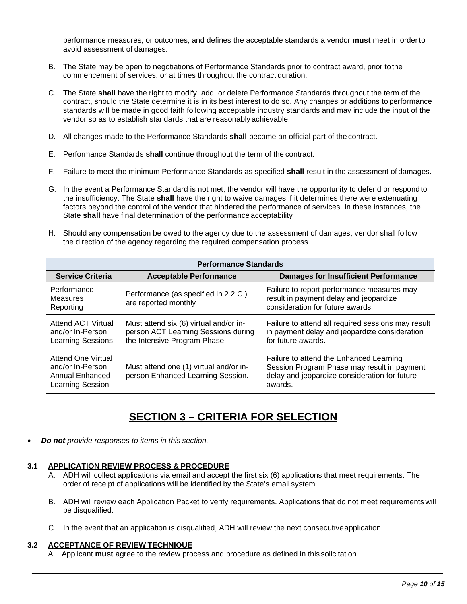performance measures, or outcomes, and defines the acceptable standards a vendor **must** meet in orderto avoid assessment of damages.

- B. The State may be open to negotiations of Performance Standards prior to contract award, prior tothe commencement of services, or at times throughout the contract duration.
- C. The State **shall** have the right to modify, add, or delete Performance Standards throughout the term of the contract, should the State determine it is in its best interest to do so. Any changes or additions to performance standards will be made in good faith following acceptable industry standards and may include the input of the vendor so as to establish standards that are reasonably achievable.
- D. All changes made to the Performance Standards **shall** become an official part of the contract.
- E. Performance Standards **shall** continue throughout the term of the contract.
- F. Failure to meet the minimum Performance Standards as specified **shall** result in the assessment of damages.
- G. In the event a Performance Standard is not met, the vendor will have the opportunity to defend or respond to the insufficiency. The State **shall** have the right to waive damages if it determines there were extenuating factors beyond the control of the vendor that hindered the performance of services. In these instances, the State **shall** have final determination of the performance acceptability
- H. Should any compensation be owed to the agency due to the assessment of damages, vendor shall follow the direction of the agency regarding the required compensation process.

| <b>Performance Standards</b>                                                         |                                                                                                              |                                                                                                                                                    |  |
|--------------------------------------------------------------------------------------|--------------------------------------------------------------------------------------------------------------|----------------------------------------------------------------------------------------------------------------------------------------------------|--|
| <b>Service Criteria</b>                                                              | <b>Acceptable Performance</b>                                                                                | <b>Damages for Insufficient Performance</b>                                                                                                        |  |
| Performance<br><b>Measures</b><br>Reporting                                          | Performance (as specified in 2.2 C.)<br>are reported monthly                                                 | Failure to report performance measures may<br>result in payment delay and jeopardize<br>consideration for future awards.                           |  |
| Attend ACT Virtual<br>and/or In-Person<br><b>Learning Sessions</b>                   | Must attend six (6) virtual and/or in-<br>person ACT Learning Sessions during<br>the Intensive Program Phase | Failure to attend all required sessions may result<br>in payment delay and jeopardize consideration<br>for future awards.                          |  |
| <b>Attend One Virtual</b><br>and/or In-Person<br>Annual Enhanced<br>Learning Session | Must attend one (1) virtual and/or in-<br>person Enhanced Learning Session.                                  | Failure to attend the Enhanced Learning<br>Session Program Phase may result in payment<br>delay and jeopardize consideration for future<br>awards. |  |

## **SECTION 3 – CRITERIA FOR SELECTION**

• *Do not provide responses to items in this section.*

## **3.1 APPLICATION REVIEW PROCESS & PROCEDURE**

- A. ADH will collect applications via email and accept the first six (6) applications that meet requirements. The order of receipt of applications will be identified by the State's email system.
- B. ADH will review each Application Packet to verify requirements. Applications that do not meet requirements will be disqualified.
- C. In the event that an application is disqualified, ADH will review the next consecutiveapplication.

#### **3.2 ACCEPTANCE OF REVIEW TECHNIQUE**

A. Applicant **must** agree to the review process and procedure as defined in this solicitation.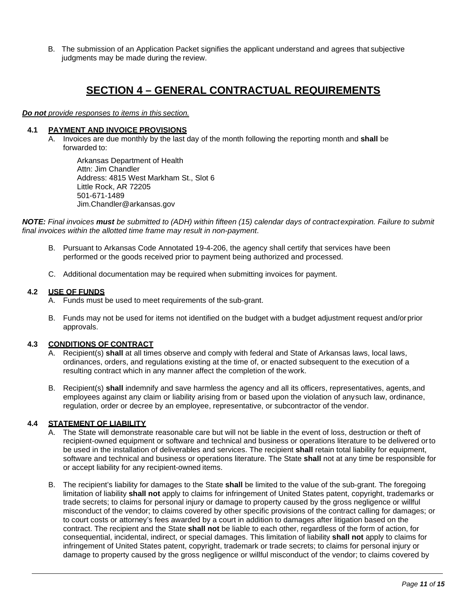B. The submission of an Application Packet signifies the applicant understand and agrees that subjective judgments may be made during the review.

## **SECTION 4 – GENERAL CONTRACTUAL REQUIREMENTS**

*Do not provide responses to items in this section.*

#### **4.1 PAYMENT AND INVOICE PROVISIONS**

A. Invoices are due monthly by the last day of the month following the reporting month and **shall** be forwarded to:

Arkansas Department of Health Attn: Jim Chandler Address: 4815 West Markham St., Slot 6 Little Rock, AR 72205 501-671-1489 Jim.Chandler@arkansas.gov

*NOTE: Final invoices must be submitted to (ADH) within fifteen (15) calendar days of contractexpiration. Failure to submit final invoices within the allotted time frame may result in non-payment*.

- B. Pursuant to Arkansas Code Annotated 19-4-206, the agency shall certify that services have been performed or the goods received prior to payment being authorized and processed.
- C. Additional documentation may be required when submitting invoices for payment.

#### **4.2 USE OF FUNDS**

- A. Funds must be used to meet requirements of the sub-grant.
- B. Funds may not be used for items not identified on the budget with a budget adjustment request and/orprior approvals.

#### **4.3 CONDITIONS OF CONTRACT**

- A. Recipient(s) **shall** at all times observe and comply with federal and State of Arkansas laws, local laws, ordinances, orders, and regulations existing at the time of, or enacted subsequent to the execution of a resulting contract which in any manner affect the completion of the work.
- B. Recipient(s) **shall** indemnify and save harmless the agency and all its officers, representatives, agents, and employees against any claim or liability arising from or based upon the violation of anysuch law, ordinance, regulation, order or decree by an employee, representative, or subcontractor of the vendor.

## **4.4 STATEMENT OF LIABILITY**

- A. The State will demonstrate reasonable care but will not be liable in the event of loss, destruction or theft of recipient-owned equipment or software and technical and business or operations literature to be delivered orto be used in the installation of deliverables and services. The recipient **shall** retain total liability for equipment, software and technical and business or operations literature. The State **shall** not at any time be responsible for or accept liability for any recipient-owned items.
- B. The recipient's liability for damages to the State **shall** be limited to the value of the sub-grant. The foregoing limitation of liability **shall not** apply to claims for infringement of United States patent, copyright, trademarks or trade secrets; to claims for personal injury or damage to property caused by the gross negligence or willful misconduct of the vendor; to claims covered by other specific provisions of the contract calling for damages; or to court costs or attorney's fees awarded by a court in addition to damages after litigation based on the contract. The recipient and the State **shall not** be liable to each other, regardless of the form of action, for consequential, incidental, indirect, or special damages. This limitation of liability **shall not** apply to claims for infringement of United States patent, copyright, trademark or trade secrets; to claims for personal injury or damage to property caused by the gross negligence or willful misconduct of the vendor; to claims covered by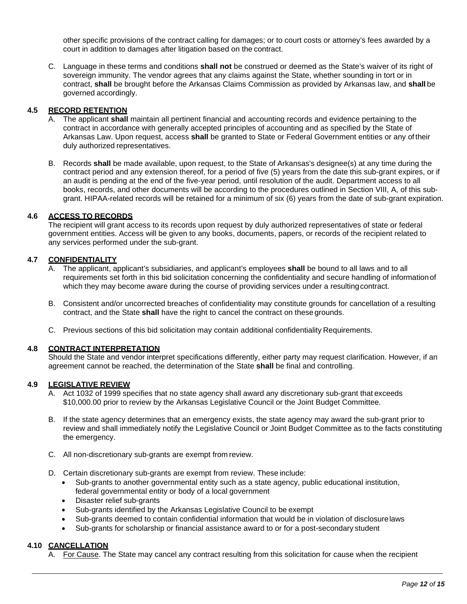other specific provisions of the contract calling for damages; or to court costs or attorney's fees awarded by a court in addition to damages after litigation based on the contract.

C. Language in these terms and conditions **shall not** be construed or deemed as the State's waiver of its right of sovereign immunity. The vendor agrees that any claims against the State, whether sounding in tort or in contract, **shall** be brought before the Arkansas Claims Commission as provided by Arkansas law, and **shall** be governed accordingly.

#### **4.5 RECORD RETENTION**

- A. The applicant **shall** maintain all pertinent financial and accounting records and evidence pertaining to the contract in accordance with generally accepted principles of accounting and as specified by the State of Arkansas Law. Upon request, access **shall** be granted to State or Federal Government entities or any oftheir duly authorized representatives.
- B. Records **shall** be made available, upon request, to the State of Arkansas's designee(s) at any time during the contract period and any extension thereof, for a period of five (5) years from the date this sub-grant expires, or if an audit is pending at the end of the five-year period, until resolution of the audit. Department access to all books, records, and other documents will be according to the procedures outlined in Section VIII, A, of this subgrant. HIPAA-related records will be retained for a minimum of six (6) years from the date of sub-grant expiration.

#### **4.6 ACCESS TO RECORDS**

The recipient will grant access to its records upon request by duly authorized representatives of state or federal government entities. Access will be given to any books, documents, papers, or records of the recipient related to any services performed under the sub-grant.

## **4.7 CONFIDENTIALITY**

- A. The applicant, applicant's subsidiaries, and applicant's employees **shall** be bound to all laws and to all requirements set forth in this bid solicitation concerning the confidentiality and secure handling of information of which they may become aware during the course of providing services under a resulting contract.
- B. Consistent and/or uncorrected breaches of confidentiality may constitute grounds for cancellation of a resulting contract, and the State **shall** have the right to cancel the contract on these grounds.
- C. Previous sections of this bid solicitation may contain additional confidentiality Requirements.

### **4.8 CONTRACT INTERPRETATION**

Should the State and vendor interpret specifications differently, either party may request clarification. However, if an agreement cannot be reached, the determination of the State **shall** be final and controlling.

### **4.9 LEGISLATIVE REVIEW**

- A. Act 1032 of 1999 specifies that no state agency shall award any discretionary sub-grant that exceeds \$10,000.00 prior to review by the Arkansas Legislative Council or the Joint Budget Committee.
- B. If the state agency determines that an emergency exists, the state agency may award the sub-grant prior to review and shall immediately notify the Legislative Council or Joint Budget Committee as to the facts constituting the emergency.
- C. All non-discretionary sub-grants are exempt from review.
- D. Certain discretionary sub-grants are exempt from review. These include:
	- Sub-grants to another governmental entity such as a state agency, public educational institution, federal governmental entity or body of a local government
	- Disaster relief sub-grants
	- Sub-grants identified by the Arkansas Legislative Council to be exempt
	- Sub-grants deemed to contain confidential information that would be in violation of disclosurelaws
	- Sub-grants for scholarship or financial assistance award to or for a post-secondary student

#### **4.10 CANCELLATION**

A. For Cause. The State may cancel any contract resulting from this solicitation for cause when the recipient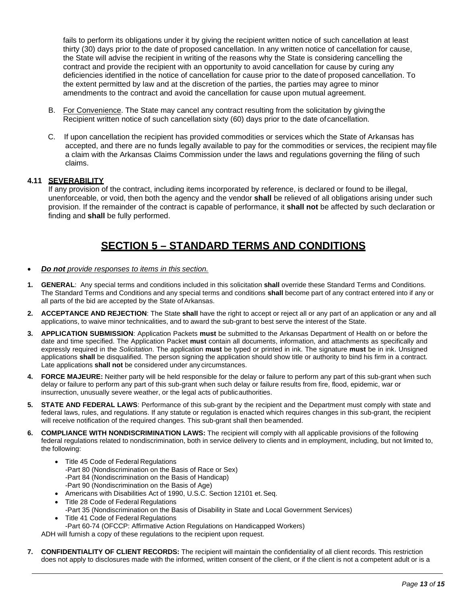fails to perform its obligations under it by giving the recipient written notice of such cancellation at least thirty (30) days prior to the date of proposed cancellation. In any written notice of cancellation for cause, the State will advise the recipient in writing of the reasons why the State is considering cancelling the contract and provide the recipient with an opportunity to avoid cancellation for cause by curing any deficiencies identified in the notice of cancellation for cause prior to the dateof proposed cancellation. To the extent permitted by law and at the discretion of the parties, the parties may agree to minor amendments to the contract and avoid the cancellation for cause upon mutual agreement.

- B. For Convenience. The State may cancel any contract resulting from the solicitation by givingthe Recipient written notice of such cancellation sixty (60) days prior to the date of cancellation.
- C. If upon cancellation the recipient has provided commodities or services which the State of Arkansas has accepted, and there are no funds legally available to pay for the commodities or services, the recipient may file a claim with the Arkansas Claims Commission under the laws and regulations governing the filing of such claims.

### **4.11 SEVERABILITY**

If any provision of the contract, including items incorporated by reference, is declared or found to be illegal, unenforceable, or void, then both the agency and the vendor **shall** be relieved of all obligations arising under such provision. If the remainder of the contract is capable of performance, it **shall not** be affected by such declaration or finding and **shall** be fully performed.

## **SECTION 5 – STANDARD TERMS AND CONDITIONS**

- *Do not provide responses to items in this section.*
- **1. GENERAL**: Any special terms and conditions included in this solicitation **shall** override these Standard Terms and Conditions. The Standard Terms and Conditions and any special terms and conditions **shall** become part of any contract entered into if any or all parts of the bid are accepted by the State of Arkansas.
- **2. ACCEPTANCE AND REJECTION**: The State **shall** have the right to accept or reject all or any part of an application or any and all applications, to waive minor technicalities, and to award the sub-grant to best serve the interest of the State.
- **3. APPLICATION SUBMISSION**: Application Packets **must** be submitted to the Arkansas Department of Health on or before the date and time specified. The Application Packet **must** contain all documents, information, and attachments as specifically and expressly required in the *Solicitation*. The application **must** be typed or printed in ink. The signature **must** be in ink. Unsigned applications **shall** be disqualified. The person signing the application should show title or authority to bind his firm in a contract. Late applications **shall not** be considered under any circumstances.
- **4. FORCE MAJEURE:** Neither party will be held responsible for the delay or failure to perform any part of this sub-grant when such delay or failure to perform any part of this sub-grant when such delay or failure results from fire, flood, epidemic, war or insurrection, unusually severe weather, or the legal acts of publicauthorities.
- **5. STATE AND FEDERAL LAWS**: Performance of this sub-grant by the recipient and the Department must comply with state and federal laws, rules, and regulations. If any statute or regulation is enacted which requires changes in this sub-grant, the recipient will receive notification of the required changes. This sub-grant shall then beamended.
- **6. COMPLIANCE WITH NONDISCRIMINATION LAWS:** The recipient will comply with all applicable provisions of the following federal regulations related to nondiscrimination, both in service delivery to clients and in employment, including, but not limited to, the following:
	- Title 45 Code of Federal Regulations -Part 80 (Nondiscrimination on the Basis of Race or Sex) -Part 84 (Nondiscrimination on the Basis of Handicap) -Part 90 (Nondiscrimination on the Basis of Age)
	- Americans with Disabilities Act of 1990, U.S.C. Section 12101 et.Seq.
	- Title 28 Code of Federal Regulations -Part 35 (Nondiscrimination on the Basis of Disability in State and Local Government Services)
	- Title 41 Code of Federal Regulations -Part 60-74 (OFCCP: Affirmative Action Regulations on Handicapped Workers)

ADH will furnish a copy of these regulations to the recipient upon request.

**7. CONFIDENTIALITY OF CLIENT RECORDS:** The recipient will maintain the confidentiality of all client records. This restriction does not apply to disclosures made with the informed, written consent of the client, or if the client is not a competent adult or is a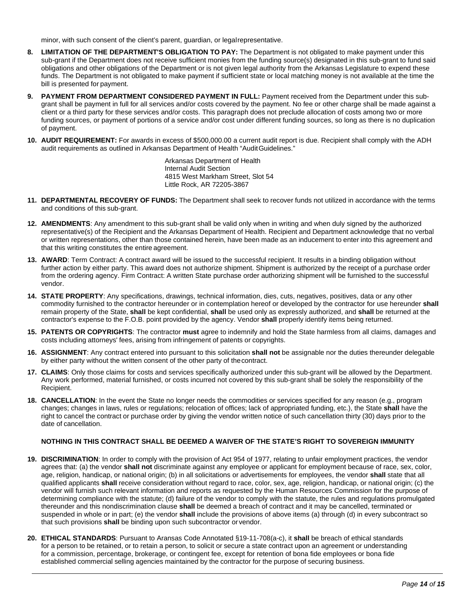minor, with such consent of the client's parent, guardian, or legalrepresentative.

- **8. LIMITATION OF THE DEPARTMENT'S OBLIGATION TO PAY:** The Department is not obligated to make payment under this sub-grant if the Department does not receive sufficient monies from the funding source(s) designated in this sub-grant to fund said obligations and other obligations of the Department or is not given legal authority from the Arkansas Legislature to expend these funds. The Department is not obligated to make payment if sufficient state or local matching money is not available at the time the bill is presented for payment.
- **9. PAYMENT FROM DEPARTMENT CONSIDERED PAYMENT IN FULL:** Payment received from the Department under this subgrant shall be payment in full for all services and/or costs covered by the payment. No fee or other charge shall be made against a client or a third party for these services and/or costs. This paragraph does not preclude allocation of costs among two or more funding sources, or payment of portions of a service and/or cost under different funding sources, so long as there is no duplication of payment.
- **10. AUDIT REQUIREMENT:** For awards in excess of \$500,000.00 a current audit report is due. Recipient shall comply with the ADH audit requirements as outlined in Arkansas Department of Health "AuditGuidelines."

Arkansas Department of Health Internal Audit Section 4815 West Markham Street, Slot 54 Little Rock, AR 72205-3867

- **11. DEPARTMENTAL RECOVERY OF FUNDS:** The Department shall seek to recover funds not utilized in accordance with the terms and conditions of this sub-grant.
- **12. AMENDMENTS**: Any amendment to this sub-grant shall be valid only when in writing and when duly signed by the authorized representative(s) of the Recipient and the Arkansas Department of Health. Recipient and Department acknowledge that no verbal or written representations, other than those contained herein, have been made as an inducement to enter into this agreement and that this writing constitutes the entire agreement.
- **13. AWARD**: Term Contract: A contract award will be issued to the successful recipient. It results in a binding obligation without further action by either party. This award does not authorize shipment. Shipment is authorized by the receipt of a purchase order from the ordering agency. Firm Contract: A written State purchase order authorizing shipment will be furnished to the successful vendor.
- **14. STATE PROPERTY**: Any specifications, drawings, technical information, dies, cuts, negatives, positives, data or any other commodity furnished to the contractor hereunder or in contemplation hereof or developed by the contractor for use hereunder **shall**  remain property of the State, **shall** be kept confidential, **shall** be used only as expressly authorized, and **shall** be returned at the contractor's expense to the F.O.B. point provided by the agency. Vendor **shall** properly identify items being returned.
- **15. PATENTS OR COPYRIGHTS**: The contractor **must** agree to indemnify and hold the State harmless from all claims, damages and costs including attorneys' fees, arising from infringement of patents or copyrights.
- **16. ASSIGNMENT**: Any contract entered into pursuant to this solicitation **shall not** be assignable nor the duties thereunder delegable by either party without the written consent of the other party of thecontract.
- **17. CLAIMS**: Only those claims for costs and services specifically authorized under this sub-grant will be allowed by the Department. Any work performed, material furnished, or costs incurred not covered by this sub-grant shall be solely the responsibility of the Recipient.
- **18. CANCELLATION**: In the event the State no longer needs the commodities or services specified for any reason (e.g., program changes; changes in laws, rules or regulations; relocation of offices; lack of appropriated funding, etc.), the State **shall** have the right to cancel the contract or purchase order by giving the vendor written notice of such cancellation thirty (30) days prior to the date of cancellation.

#### **NOTHING IN THIS CONTRACT SHALL BE DEEMED A WAIVER OF THE STATE'S RIGHT TO SOVEREIGN IMMUNITY**

- **19. DISCRIMINATION**: In order to comply with the provision of Act 954 of 1977, relating to unfair employment practices, the vendor agrees that: (a) the vendor **shall not** discriminate against any employee or applicant for employment because of race, sex, color, age, religion, handicap, or national origin; (b) in all solicitations or advertisements for employees, the vendor **shall** state that all qualified applicants **shall** receive consideration without regard to race, color, sex, age, religion, handicap, or national origin; (c) the vendor will furnish such relevant information and reports as requested by the Human Resources Commission for the purpose of determining compliance with the statute; (d) failure of the vendor to comply with the statute, the rules and regulations promulgated thereunder and this nondiscrimination clause **shall** be deemed a breach of contract and it may be cancelled, terminated or suspended in whole or in part; (e) the vendor **shall** include the provisions of above items (a) through (d) in every subcontract so that such provisions **shall** be binding upon such subcontractor or vendor.
- **20. ETHICAL STANDARDS**: Pursuant to Aransas Code Annotated §19-11-708(a-c), it **shall** be breach of ethical standards for a person to be retained, or to retain a person, to solicit or secure a state contract upon an agreement or understanding for a commission, percentage, brokerage, or contingent fee, except for retention of bona fide employees or bona fide established commercial selling agencies maintained by the contractor for the purpose of securing business.